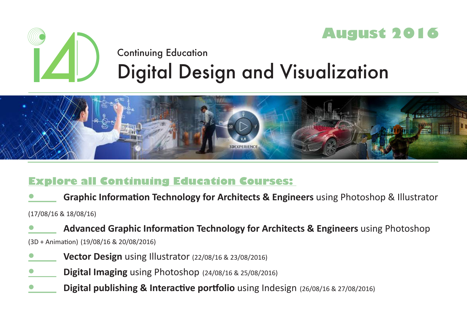

# Continuing Education Digital Design and Visualization



# **Explore all Continuing Education Courses:**

**Graphic Information Technology for Architects & Engineers** using Photoshop & Illustrator

(17/08/16 & 18/08/16)

**• Advanced Graphic Information Technology for Architects & Engineers** using Photoshop

(3D + Animation) (19/08/16 & 20/08/2016)

- **Vector Design** using Illustrator (22/08/16 & 23/08/2016)
- **Digital Imaging** using Photoshop (24/08/16 & 25/08/2016)
- **Digital publishing & Interactive portfolio** using Indesign (26/08/16 & 27/08/2016)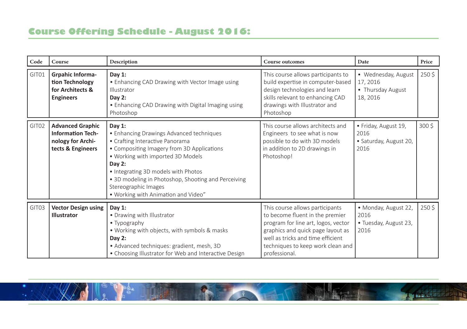## **Course Offering Schedule - August 2016:**

| Code  | Course                                                                                        | Description                                                                                                                                                                                                                                                                                                                                          | <b>Course outcomes</b>                                                                                                                                                                                                                    | Date                                                             | Price            |
|-------|-----------------------------------------------------------------------------------------------|------------------------------------------------------------------------------------------------------------------------------------------------------------------------------------------------------------------------------------------------------------------------------------------------------------------------------------------------------|-------------------------------------------------------------------------------------------------------------------------------------------------------------------------------------------------------------------------------------------|------------------------------------------------------------------|------------------|
| GIT01 | <b>Grpahic Informa-</b><br>tion Technology<br>for Architects &<br><b>Engineers</b>            | Day $1$ :<br>• Enhancing CAD Drawing with Vector Image using<br>Illustrator<br>Day $2:$<br>• Enhancing CAD Drawing with Digital Imaging using<br>Photoshop                                                                                                                                                                                           | This course allows participants to<br>build expertise in computer-based<br>design technologies and learn<br>skills relevant to enhancing CAD<br>drawings with Illustrator and<br>Photoshop                                                | • Wednesday, August<br>17, 2016<br>• Thursday August<br>18, 2016 | 250\$            |
| GIT02 | <b>Advanced Graphic</b><br><b>Information Tech-</b><br>nology for Archi-<br>tects & Engineers | Day $1$ :<br>• Enhancing Drawings Advanced techniques<br>• Crafting Interactive Panorama<br>• Compositing Imagery from 3D Applications<br>. Working with imported 3D Models<br>Day $2:$<br>• Integrating 3D models with Photos<br>• 3D modeling in Photoshop, Shooting and Perceiving<br>Stereographic Images<br>• Working with Animation and Video" | This course allows architects and<br>Engineers to see what is now<br>possible to do with 3D models<br>in addition to 2D drawings in<br>Photoshop!                                                                                         | · Friday, August 19,<br>2016<br>· Saturday, August 20,<br>2016   | 300 <sup>5</sup> |
| GIT03 | <b>Vector Design using</b><br>Illustrator                                                     | Day $1$ :<br>• Drawing with Illustrator<br>• Typography<br>• Working with objects, with symbols & masks<br>Day $2:$<br>• Advanced techniques: gradient, mesh, 3D<br>• Choosing Illustrator for Web and Interactive Design                                                                                                                            | This course allows participants<br>to become fluent in the premier<br>program for line art, logos, vector<br>graphics and quick page layout as<br>well as tricks and time efficient<br>techniques to keep work clean and<br>professional. | · Monday, August 22,<br>2016<br>• Tuesday, August 23,<br>2016    | 250\$            |

**A SERVER AND**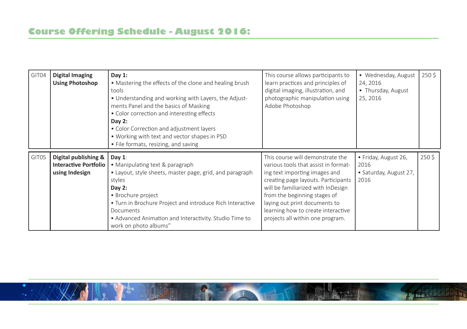| GIT04 | Digital Imaging<br><b>Using Photoshop</b>                              | Day $1:$<br>• Mastering the effects of the clone and healing brush<br>tools<br>• Understanding and working with Layers, the Adjust-<br>ments Panel and the basics of Masking<br>• Color correction and interesting effects<br>Day $2:$<br>• Color Correction and adjustment layers<br>• Working with text and vector shapes in PSD<br>• File formats, resizing, and saving | This course allows participants to<br>learn practices and principles of<br>digital imaging, illustration, and<br>photographic manipulation using<br>Adobe Photoshop                                                                                                                                                               | • Wednesday, August<br>24, 2016<br>• Thursday, August<br>25, 2016 | 250\$ |
|-------|------------------------------------------------------------------------|----------------------------------------------------------------------------------------------------------------------------------------------------------------------------------------------------------------------------------------------------------------------------------------------------------------------------------------------------------------------------|-----------------------------------------------------------------------------------------------------------------------------------------------------------------------------------------------------------------------------------------------------------------------------------------------------------------------------------|-------------------------------------------------------------------|-------|
| GIT05 | Digital publishing &<br><b>Interactive Portfolio</b><br>using Indesign | Day $1$ :<br>• Manipulating text & paragraph<br>• Layout, style sheets, master page, grid, and paragraph<br>styles<br>Day $2:$<br>• Brochure project<br>• Turn in Brochure Project and introduce Rich Interactive<br>Documents<br>• Advanced Animation and Interactivity. Studio Time to<br>work on photo albums"                                                          | This course will demonstrate the<br>various tools that assist in format-<br>ing text importing images and<br>creating page layouts. Participants<br>will be familiarized with InDesign<br>from the beginning stages of<br>laying out print documents to<br>learning how to create interactive<br>projects all within one program. | · Friday, August 26,<br>2016<br>• Saturday, August 27,<br>2016    | 250\$ |

**The State of Party**